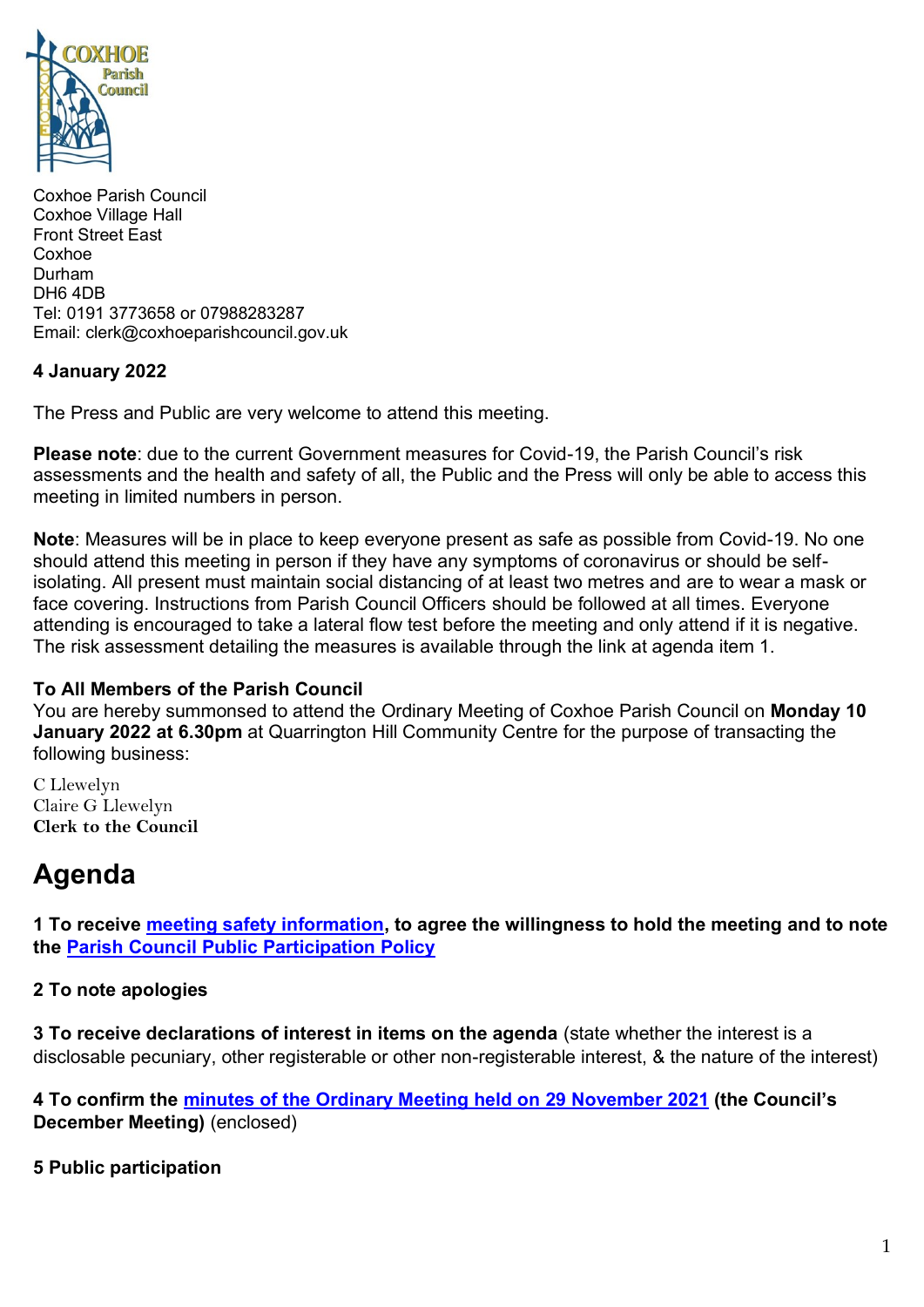

Coxhoe Parish Council Coxhoe Village Hall Front Street East Coxhoe Durham DH6 4DB Tel: 0191 3773658 or 07988283287 Email: clerk@coxhoeparishcouncil.gov.uk

# **4 January 2022**

The Press and Public are very welcome to attend this meeting.

**Please note**: due to the current Government measures for Covid-19, the Parish Council's risk assessments and the health and safety of all, the Public and the Press will only be able to access this meeting in limited numbers in person.

**Note**: Measures will be in place to keep everyone present as safe as possible from Covid-19. No one should attend this meeting in person if they have any symptoms of coronavirus or should be selfisolating. All present must maintain social distancing of at least two metres and are to wear a mask or face covering. Instructions from Parish Council Officers should be followed at all times. Everyone attending is encouraged to take a lateral flow test before the meeting and only attend if it is negative. The risk assessment detailing the measures is available through the link at agenda item 1.

## **To All Members of the Parish Council**

You are hereby summonsed to attend the Ordinary Meeting of Coxhoe Parish Council on **Monday 10 January 2022 at 6.30pm** at Quarrington Hill Community Centre for the purpose of transacting the following business:

C Llewelyn Claire G Llewelyn **Clerk to the Council** 

# **Agenda**

**1 To receive [meeting safety information,](https://1drv.ms/b/s!Alg_TKmu7xwUgdd1BIsKvp0wiOu-Zg?e=buX94d) to agree the willingness to hold the meeting and to note the [Parish Council Public Participation Policy](http://coxhoeparishcouncil.gov.uk/important-documents-and-policies/public-participation-policy-fmarch-2020-review-date-march-2022/)**

## **2 To note apologies**

**3 To receive declarations of interest in items on the agenda** (state whether the interest is a disclosable pecuniary, other registerable or other non-registerable interest, & the nature of the interest)

**4 To confirm the [minutes of the Ordinary Meeting held on 29](https://1drv.ms/b/s!Alg_TKmu7xwUgdd3uiCgay5Grm7pxA?e=tAYacr) November 2021 (the Council's December Meeting)** (enclosed)

**5 Public participation**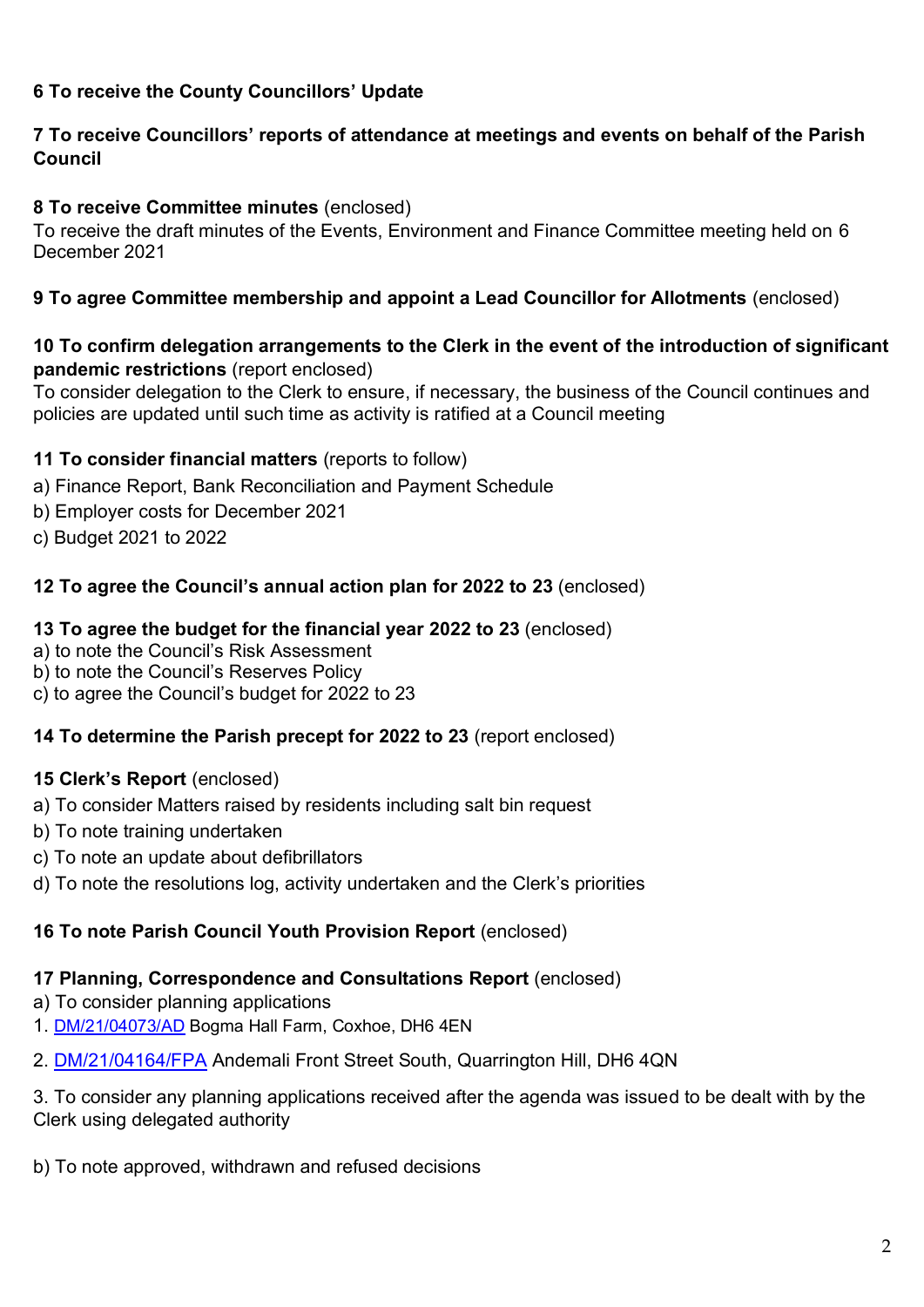# **6 To receive the County Councillors' Update**

# **7 To receive Councillors' reports of attendance at meetings and events on behalf of the Parish Council**

# **8 To receive Committee minutes** (enclosed)

To receive the draft minutes of the Events, Environment and Finance Committee meeting held on 6 December 2021

# **9 To agree Committee membership and appoint a Lead Councillor for Allotments** (enclosed)

## **10 To confirm delegation arrangements to the Clerk in the event of the introduction of significant pandemic restrictions** (report enclosed)

To consider delegation to the Clerk to ensure, if necessary, the business of the Council continues and policies are updated until such time as activity is ratified at a Council meeting

# **11 To consider financial matters** (reports to follow)

- a) Finance Report, Bank Reconciliation and Payment Schedule
- b) Employer costs for December 2021
- c) Budget 2021 to 2022

# **12 To agree the Council's annual action plan for 2022 to 23** (enclosed)

## **13 To agree the budget for the financial year 2022 to 23** (enclosed)

- a) to note the Council's Risk Assessment
- b) to note the Council's Reserves Policy
- c) to agree the Council's budget for 2022 to 23

## **14 To determine the Parish precept for 2022 to 23** (report enclosed)

## **15 Clerk's Report** (enclosed)

- a) To consider Matters raised by residents including salt bin request
- b) To note training undertaken
- c) To note an update about defibrillators
- d) To note the resolutions log, activity undertaken and the Clerk's priorities

## **16 To note Parish Council Youth Provision Report** (enclosed)

# **17 Planning, Correspondence and Consultations Report** (enclosed)

- a) To consider planning applications
- 1. [DM/21/04073/AD](https://publicaccess.durham.gov.uk/online-applications/applicationDetails.do?activeTab=summary&keyVal=R3HV4SGDJMZ00) Bogma Hall Farm, Coxhoe, DH6 4EN
- 2. [DM/21/04164/FPA](https://publicaccess.durham.gov.uk/online-applications/applicationDetails.do?activeTab=summary&keyVal=R41M6XGDJSL00) Andemali Front Street South, Quarrington Hill, DH6 4QN

3. To consider any planning applications received after the agenda was issued to be dealt with by the Clerk using delegated authority

b) To note approved, withdrawn and refused decisions